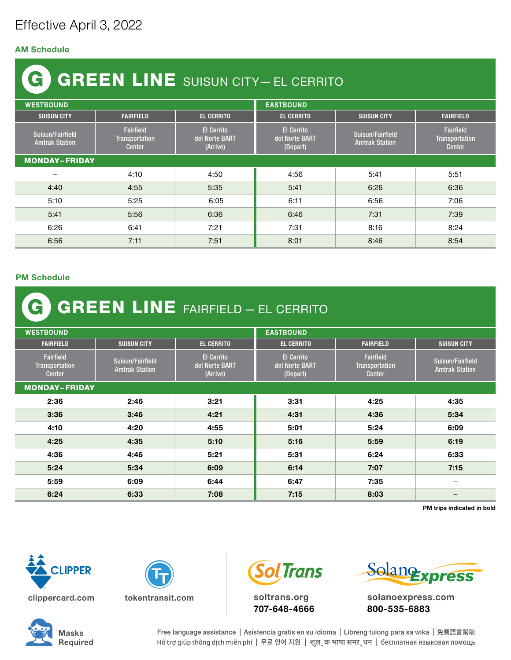## Effective April 3, 2022

## AM Schedule

## GREEN LINE SUISUN CITY— EL CERRITO G

| <b>WESTBOUND</b>                          |                                                     |                                                 | <b>EASTBOUND</b>                                |                                           |                                              |  |  |  |
|-------------------------------------------|-----------------------------------------------------|-------------------------------------------------|-------------------------------------------------|-------------------------------------------|----------------------------------------------|--|--|--|
| <b>SUISUN CITY</b>                        | <b>FAIRFIELD</b>                                    | <b>EL CERRITO</b>                               | <b>EL CERRITO</b>                               | <b>SUISUN CITY</b>                        | <b>FAIRFIELD</b>                             |  |  |  |
| Suisun/Fairfield<br><b>Amtrak Station</b> | Fairfield<br><b>Transportation</b><br><b>Center</b> | <b>El Cerrito</b><br>del Norte BART<br>(Arrive) | <b>El Cerrito</b><br>del Norte BART<br>(Depart) | Suisun/Fairfield<br><b>Amtrak Station</b> | Fairfield<br>Transportation<br><b>Center</b> |  |  |  |
| <b>MONDAY-FRIDAY</b>                      |                                                     |                                                 |                                                 |                                           |                                              |  |  |  |
| -                                         | 4:10                                                | 4:50                                            | 4:56                                            | 5:41                                      | 5:51                                         |  |  |  |
| 4:40                                      | 4:55                                                | 5:35                                            | 5:41                                            | 6:26                                      | 6:36                                         |  |  |  |
| 5:10                                      | 5:25                                                | 6:05                                            | 6:11                                            | 6:56                                      | 7:06                                         |  |  |  |
| 5:41                                      | 5:56                                                | 6:36                                            | 6:46                                            | 7:31                                      | 7:39                                         |  |  |  |
| 6:26                                      | 6:41                                                | 7:21                                            | 7:31                                            | 8:16                                      | 8:24                                         |  |  |  |
| 6:56                                      | 7:11                                                | 7:51                                            | 8:01                                            | 8:46                                      | 8:54                                         |  |  |  |

## PM Schedule

| <b>C GREEN LINE</b> FAIRFIELD - EL CERRITO   |                                           |                                                 |                                                 |                                                     |                                           |  |  |  |
|----------------------------------------------|-------------------------------------------|-------------------------------------------------|-------------------------------------------------|-----------------------------------------------------|-------------------------------------------|--|--|--|
| <b>WESTBOUND</b>                             |                                           |                                                 | <b>EASTBOUND</b>                                |                                                     |                                           |  |  |  |
| <b>FAIRFIELD</b>                             | <b>SUISUN CITY</b>                        | <b>EL CERRITO</b>                               | <b>EL CERRITO</b>                               | <b>FAIRFIELD</b>                                    | <b>SUISUN CITY</b>                        |  |  |  |
| Fairfield<br><b>Transportation</b><br>Center | Suisun/Fairfield<br><b>Amtrak Station</b> | <b>El Cerrito</b><br>del Norte BART<br>(Arrive) | <b>El Cerrito</b><br>del Norte BART<br>(Depart) | <b>Fairfield</b><br><b>Transportation</b><br>Center | Suisun/Fairfield<br><b>Amtrak Station</b> |  |  |  |
| <b>MONDAY-FRIDAY</b>                         |                                           |                                                 |                                                 |                                                     |                                           |  |  |  |
| 2:36                                         | 2:46                                      | 3:21                                            | 3:31                                            | 4:25                                                | 4:35                                      |  |  |  |
| 3:36                                         | 3:46                                      | 4:21                                            | 4:31                                            | 4:36                                                | 5:34                                      |  |  |  |
| 4:10                                         | 4:20                                      | 4:55                                            | 5:01                                            | 5:24                                                | 6:09                                      |  |  |  |
| 4:25                                         | 4:35                                      | 5:10                                            | 5:16                                            | 5:59                                                | 6:19                                      |  |  |  |
| 4:36                                         | 4:46                                      | 5:21                                            | 5:31                                            | 6:24                                                | 6:33                                      |  |  |  |
| 5:24                                         | 5:34                                      | 6:09                                            | 6:14                                            | 7:07                                                | 7:15                                      |  |  |  |
| 5:59                                         | 6:09                                      | 6:44                                            | 6:47                                            | 7:35                                                | $\qquad \qquad -$                         |  |  |  |
| 6:24                                         | 6:33                                      | 7:08                                            | 7:15                                            | 8:03                                                |                                           |  |  |  |

PM trips indicated in bold





**Sol Trans** 

soltrans.org 707-648-4666



solanoexpress.com 800-535-6883



Free language assistance | Asistencia gratis en su idioma | Libreng tulong para sa wika | 免費語言幫助 Hỗ trợ giúp thông dịch miễn phí | 무료 언어 지원 | शुल ् क भाषा समर ् थन | бесплатная языковая помощь